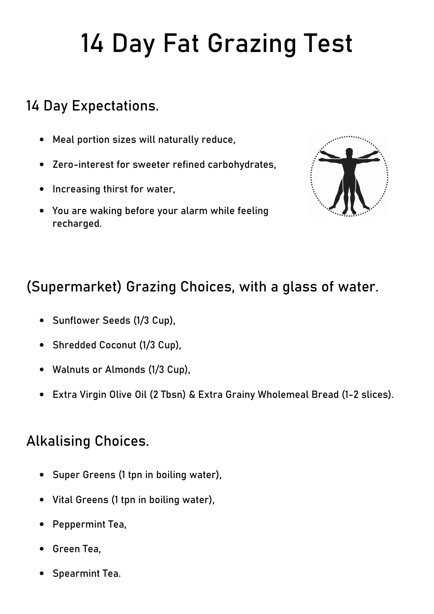# 14 Day Fat Grazing Test

## 14 Day Expectations.

- Meal portion sizes will naturally reduce,
- Zero-interest for sweeter refined carbohydrates,
- Increasing thirst for water,
- You are waking before your alarm while feeling recharged.



## (Supermarket) Grazing Choices, with a glass of water.

- Sunflower Seeds (1/3 Cup),
- Shredded Coconut (1/3 Cup),
- Walnuts or Almonds (1/3 Cup),
- Extra Virgin Olive Oil (2 Tbsn) & Extra Grainy Wholemeal Bread (1-2 slices).

### Alkalising Choices.

- Super Greens (1 tpn in boiling water),
- Vital Greens (1 tpn in boiling water),
- Peppermint Tea,
- Green Tea,
- Spearmint Tea.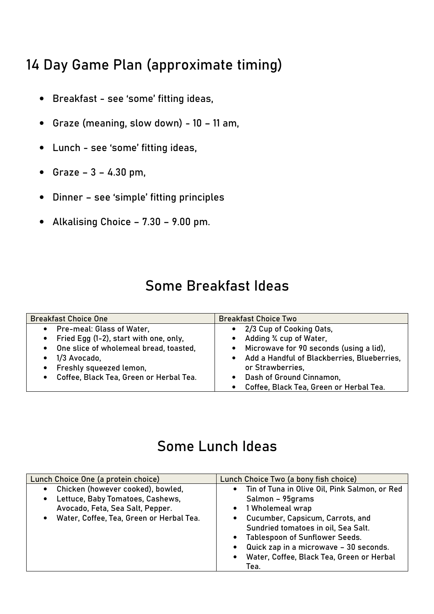## 14 Day Game Plan (approximate timing)

- Breakfast see 'some' fitting ideas,
- Graze (meaning, slow down) 10 11 am,
- Lunch see 'some' fitting ideas,
- Graze  $3 4.30$  pm,
- Dinner see 'simple' fitting principles
- Alkalising Choice 7.30 9.00 pm.

## Some Breakfast Ideas

| <b>Breakfast Choice One</b>               | <b>Breakfast Choice Two</b>                              |
|-------------------------------------------|----------------------------------------------------------|
| • Pre-meal: Glass of Water,               | 2/3 Cup of Cooking Oats,                                 |
| • Fried Egg (1-2), start with one, only,  | Adding % cup of Water,                                   |
| • One slice of wholemeal bread, toasted,  | Microwave for 90 seconds (using a lid),                  |
| 1/3 Avocado,                              | Add a Handful of Blackberries, Blueberries,<br>$\bullet$ |
| • Freshly squeezed lemon,                 | or Strawberries.                                         |
| • Coffee, Black Tea, Green or Herbal Tea. | Dash of Ground Cinnamon,                                 |
|                                           | Coffee, Black Tea, Green or Herbal Tea.                  |

#### Some Lunch Ideas

| Lunch Choice One (a protein choice)                                                                                                                                                          | Lunch Choice Two (a bony fish choice)                                                                                                                                                                                                                                                                                     |
|----------------------------------------------------------------------------------------------------------------------------------------------------------------------------------------------|---------------------------------------------------------------------------------------------------------------------------------------------------------------------------------------------------------------------------------------------------------------------------------------------------------------------------|
| Chicken (however cooked), bowled,<br>$\bullet$<br>Lettuce, Baby Tomatoes, Cashews,<br>$\bullet$<br>Avocado, Feta, Sea Salt, Pepper.<br>Water, Coffee, Tea, Green or Herbal Tea.<br>$\bullet$ | • Tin of Tuna in Olive Oil, Pink Salmon, or Red<br>Salmon - 95grams<br>• 1 Wholemeal wrap<br>Cucumber, Capsicum, Carrots, and<br>Sundried tomatoes in oil, Sea Salt.<br><b>Tablespoon of Sunflower Seeds.</b><br>Quick zap in a microwave - 30 seconds.<br>$\bullet$<br>Water, Coffee, Black Tea, Green or Herbal<br>Tea. |